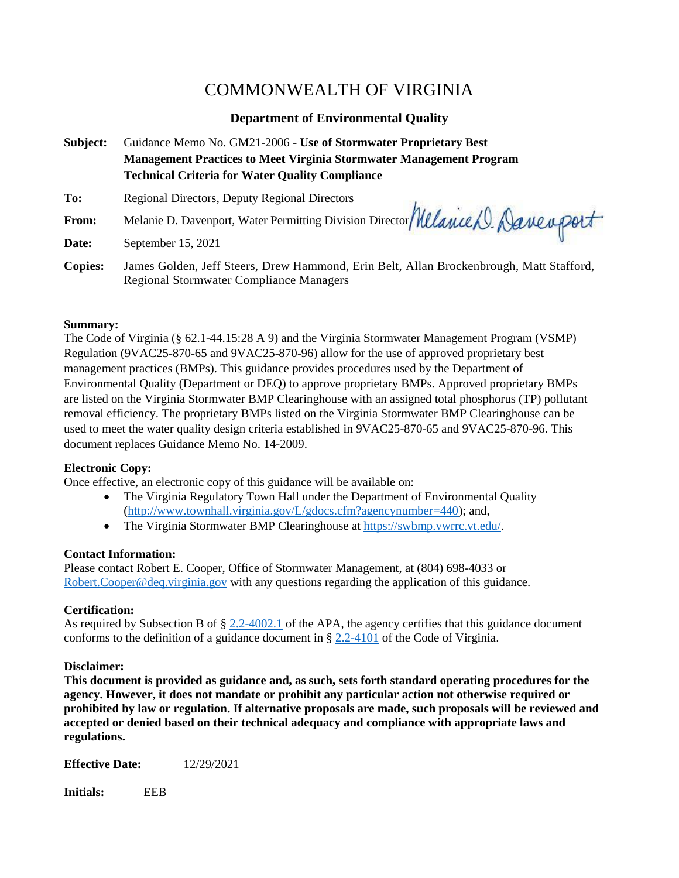# COMMONWEALTH OF VIRGINIA

# **Department of Environmental Quality**

| Subject:       | Guidance Memo No. GM21-2006 - Use of Stormwater Proprietary Best                                                                          |  |  |
|----------------|-------------------------------------------------------------------------------------------------------------------------------------------|--|--|
|                | <b>Management Practices to Meet Virginia Stormwater Management Program</b><br><b>Technical Criteria for Water Quality Compliance</b>      |  |  |
| To:            | Regional Directors, Deputy Regional Directors                                                                                             |  |  |
| From:          | Melanie D. Davenport, Water Permitting Division Director Melanie D. Davenport                                                             |  |  |
| Date:          | September 15, 2021                                                                                                                        |  |  |
| <b>Copies:</b> | James Golden, Jeff Steers, Drew Hammond, Erin Belt, Allan Brockenbrough, Matt Stafford,<br><b>Regional Stormwater Compliance Managers</b> |  |  |

#### **Summary:**

The Code of Virginia (§ 62.1-44.15:28 A 9) and the Virginia Stormwater Management Program (VSMP) Regulation (9VAC25-870-65 and 9VAC25-870-96) allow for the use of approved proprietary best management practices (BMPs). This guidance provides procedures used by the Department of Environmental Quality (Department or DEQ) to approve proprietary BMPs. Approved proprietary BMPs are listed on the Virginia Stormwater BMP Clearinghouse with an assigned total phosphorus (TP) pollutant removal efficiency. The proprietary BMPs listed on the Virginia Stormwater BMP Clearinghouse can be used to meet the water quality design criteria established in 9VAC25-870-65 and 9VAC25-870-96. This document replaces Guidance Memo No. 14-2009.

#### **Electronic Copy:**

Once effective, an electronic copy of this guidance will be available on:

- The Virginia Regulatory Town Hall under the Department of Environmental Quality [\(http://www.townhall.virginia.gov/L/gdocs.cfm?agencynumber=440\)](http://www.townhall.virginia.gov/L/gdocs.cfm?agencynumber=440); and,
- The Virginia Stormwater BMP Clearinghouse at [https://swbmp.vwrrc.vt.edu/.](https://swbmp.vwrrc.vt.edu/)

#### **Contact Information:**

Please contact Robert E. Cooper, Office of Stormwater Management, at (804) 698-4033 or [Robert.Cooper@deq.virginia.gov](mailto:Robert.Cooper@deq.virginia.gov) with any questions regarding the application of this guidance.

#### **Certification:**

As required by Subsection B of § [2.2-4002.1](https://law.lis.virginia.gov/vacode/title2.2/chapter40/section2.2-4002.1/) of the APA, the agency certifies that this guidance document conforms to the definition of a guidance document in § [2.2-4101](https://law.lis.virginia.gov/vacode/2.2-4101/) of the Code of Virginia.

#### **Disclaimer:**

**This document is provided as guidance and, as such, sets forth standard operating procedures for the agency. However, it does not mandate or prohibit any particular action not otherwise required or prohibited by law or regulation. If alternative proposals are made, such proposals will be reviewed and accepted or denied based on their technical adequacy and compliance with appropriate laws and regulations.**

| <b>Effective Date:</b><br>12/29/2021 |
|--------------------------------------|
|--------------------------------------|

**Initials:** EEB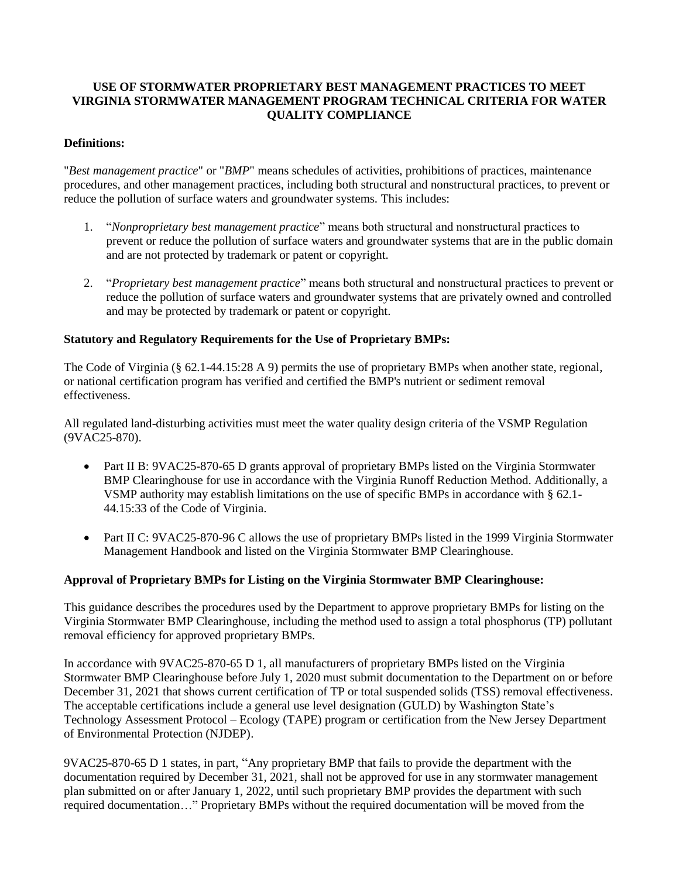## **USE OF STORMWATER PROPRIETARY BEST MANAGEMENT PRACTICES TO MEET VIRGINIA STORMWATER MANAGEMENT PROGRAM TECHNICAL CRITERIA FOR WATER QUALITY COMPLIANCE**

## **Definitions:**

"*Best management practice*" or "*BMP*" means schedules of activities, prohibitions of practices, maintenance procedures, and other management practices, including both structural and nonstructural practices, to prevent or reduce the pollution of surface waters and groundwater systems. This includes:

- 1. "*Nonproprietary best management practice*" means both structural and nonstructural practices to prevent or reduce the pollution of surface waters and groundwater systems that are in the public domain and are not protected by trademark or patent or copyright.
- 2. "*Proprietary best management practice*" means both structural and nonstructural practices to prevent or reduce the pollution of surface waters and groundwater systems that are privately owned and controlled and may be protected by trademark or patent or copyright.

### **Statutory and Regulatory Requirements for the Use of Proprietary BMPs:**

The Code of Virginia (§ 62.1-44.15:28 A 9) permits the use of proprietary BMPs when another state, regional, or national certification program has verified and certified the BMP's nutrient or sediment removal effectiveness.

All regulated land-disturbing activities must meet the water quality design criteria of the VSMP Regulation (9VAC25-870).

- Part II B: 9VAC25-870-65 D grants approval of proprietary BMPs listed on the Virginia Stormwater BMP Clearinghouse for use in accordance with the Virginia Runoff Reduction Method. Additionally, a VSMP authority may establish limitations on the use of specific BMPs in accordance with § 62.1- 44.15:33 of the Code of Virginia.
- Part II C: 9VAC25-870-96 C allows the use of proprietary BMPs listed in the 1999 Virginia Stormwater Management Handbook and listed on the Virginia Stormwater BMP Clearinghouse.

#### **Approval of Proprietary BMPs for Listing on the Virginia Stormwater BMP Clearinghouse:**

This guidance describes the procedures used by the Department to approve proprietary BMPs for listing on the Virginia Stormwater BMP Clearinghouse, including the method used to assign a total phosphorus (TP) pollutant removal efficiency for approved proprietary BMPs.

In accordance with 9VAC25-870-65 D 1, all manufacturers of proprietary BMPs listed on the Virginia Stormwater BMP Clearinghouse before July 1, 2020 must submit documentation to the Department on or before December 31, 2021 that shows current certification of TP or total suspended solids (TSS) removal effectiveness. The acceptable certifications include a general use level designation (GULD) by Washington State's Technology Assessment Protocol – Ecology (TAPE) program or certification from the New Jersey Department of Environmental Protection (NJDEP).

9VAC25-870-65 D 1 states, in part, "Any proprietary BMP that fails to provide the department with the documentation required by December 31, 2021, shall not be approved for use in any stormwater management plan submitted on or after January 1, 2022, until such proprietary BMP provides the department with such required documentation…" Proprietary BMPs without the required documentation will be moved from the